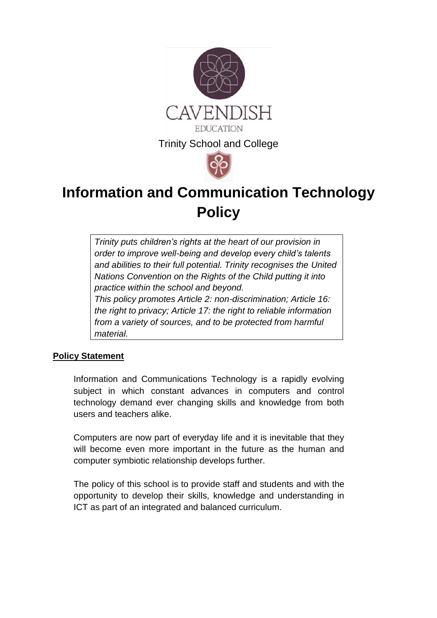

# **Information and Communication Technology Policy**

*Trinity puts [children's rights](http://www.unicef.org.uk/rights-respecting-schools/about-the-award/child-rights-in-schools/) at the heart of our provision in order to improve well-being and develop every child's talents and abilities to their full potential. Trinity recognises the [United](http://www.unicef.org.uk/UNICEFs-Work/UN-Convention/)  [Nations Convention on the Rights of the Child](http://www.unicef.org.uk/UNICEFs-Work/UN-Convention/) putting it into practice within the school and beyond. This policy promotes Article 2: non-discrimination; Article 16: the right to privacy; Article 17: the right to reliable information from a variety of sources, and to be protected from harmful material.*

# **Policy Statement**

Information and Communications Technology is a rapidly evolving subject in which constant advances in computers and control technology demand ever changing skills and knowledge from both users and teachers alike.

Computers are now part of everyday life and it is inevitable that they will become even more important in the future as the human and computer symbiotic relationship develops further.

The policy of this school is to provide staff and students and with the opportunity to develop their skills, knowledge and understanding in ICT as part of an integrated and balanced curriculum.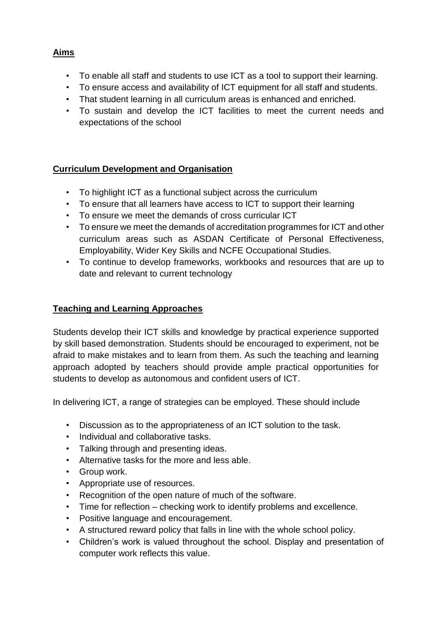#### **Aims**

- To enable all staff and students to use ICT as a tool to support their learning.
- To ensure access and availability of ICT equipment for all staff and students.
- That student learning in all curriculum areas is enhanced and enriched.
- To sustain and develop the ICT facilities to meet the current needs and expectations of the school

## **Curriculum Development and Organisation**

- To highlight ICT as a functional subject across the curriculum
- To ensure that all learners have access to ICT to support their learning
- To ensure we meet the demands of cross curricular ICT
- To ensure we meet the demands of accreditation programmes for ICT and other curriculum areas such as ASDAN Certificate of Personal Effectiveness, Employability, Wider Key Skills and NCFE Occupational Studies.
- To continue to develop frameworks, workbooks and resources that are up to date and relevant to current technology

# **Teaching and Learning Approaches**

Students develop their ICT skills and knowledge by practical experience supported by skill based demonstration. Students should be encouraged to experiment, not be afraid to make mistakes and to learn from them. As such the teaching and learning approach adopted by teachers should provide ample practical opportunities for students to develop as autonomous and confident users of ICT.

In delivering ICT, a range of strategies can be employed. These should include

- Discussion as to the appropriateness of an ICT solution to the task.
- Individual and collaborative tasks.
- Talking through and presenting ideas.
- Alternative tasks for the more and less able.
- Group work.
- Appropriate use of resources.
- Recognition of the open nature of much of the software.
- Time for reflection checking work to identify problems and excellence.
- Positive language and encouragement.
- A structured reward policy that falls in line with the whole school policy.
- Children's work is valued throughout the school. Display and presentation of computer work reflects this value.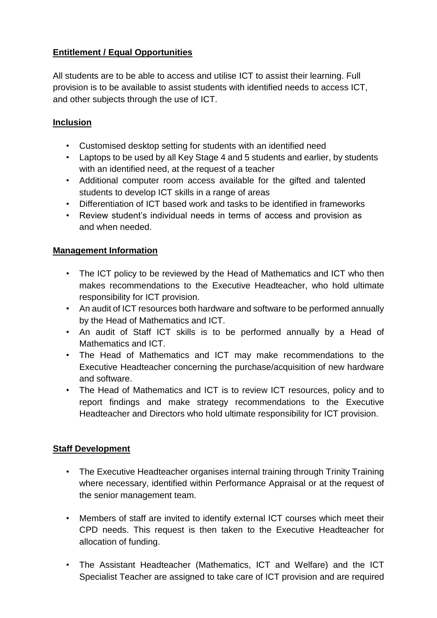# **Entitlement / Equal Opportunities**

All students are to be able to access and utilise ICT to assist their learning. Full provision is to be available to assist students with identified needs to access ICT, and other subjects through the use of ICT.

## **Inclusion**

- Customised desktop setting for students with an identified need
- Laptops to be used by all Key Stage 4 and 5 students and earlier, by students with an identified need, at the request of a teacher
- Additional computer room access available for the gifted and talented students to develop ICT skills in a range of areas
- Differentiation of ICT based work and tasks to be identified in frameworks
- Review student's individual needs in terms of access and provision as and when needed.

#### **Management Information**

- The ICT policy to be reviewed by the Head of Mathematics and ICT who then makes recommendations to the Executive Headteacher, who hold ultimate responsibility for ICT provision.
- An audit of ICT resources both hardware and software to be performed annually by the Head of Mathematics and ICT.
- An audit of Staff ICT skills is to be performed annually by a Head of Mathematics and ICT.
- The Head of Mathematics and ICT may make recommendations to the Executive Headteacher concerning the purchase/acquisition of new hardware and software.
- The Head of Mathematics and ICT is to review ICT resources, policy and to report findings and make strategy recommendations to the Executive Headteacher and Directors who hold ultimate responsibility for ICT provision.

#### **Staff Development**

- The Executive Headteacher organises internal training through Trinity Training where necessary, identified within Performance Appraisal or at the request of the senior management team.
- Members of staff are invited to identify external ICT courses which meet their CPD needs. This request is then taken to the Executive Headteacher for allocation of funding.
- The Assistant Headteacher (Mathematics, ICT and Welfare) and the ICT Specialist Teacher are assigned to take care of ICT provision and are required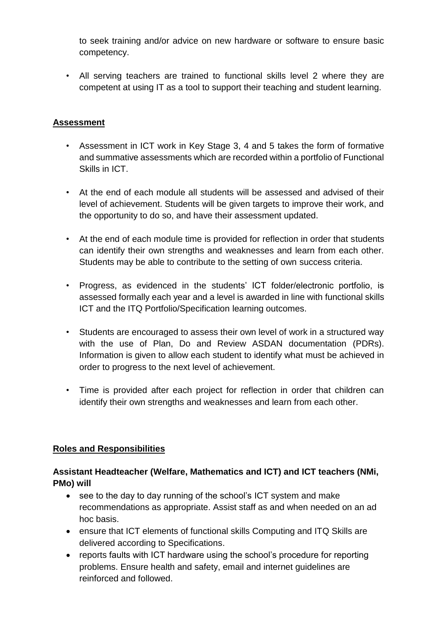to seek training and/or advice on new hardware or software to ensure basic competency.

• All serving teachers are trained to functional skills level 2 where they are competent at using IT as a tool to support their teaching and student learning.

# **Assessment**

- Assessment in ICT work in Key Stage 3, 4 and 5 takes the form of formative and summative assessments which are recorded within a portfolio of Functional Skills in ICT.
- At the end of each module all students will be assessed and advised of their level of achievement. Students will be given targets to improve their work, and the opportunity to do so, and have their assessment updated.
- At the end of each module time is provided for reflection in order that students can identify their own strengths and weaknesses and learn from each other. Students may be able to contribute to the setting of own success criteria.
- Progress, as evidenced in the students' ICT folder/electronic portfolio, is assessed formally each year and a level is awarded in line with functional skills ICT and the ITQ Portfolio/Specification learning outcomes.
- Students are encouraged to assess their own level of work in a structured way with the use of Plan, Do and Review ASDAN documentation (PDRs). Information is given to allow each student to identify what must be achieved in order to progress to the next level of achievement.
- Time is provided after each project for reflection in order that children can identify their own strengths and weaknesses and learn from each other.

#### **Roles and Responsibilities**

# **Assistant Headteacher (Welfare, Mathematics and ICT) and ICT teachers (NMi, PMo) will**

- see to the day to day running of the school's ICT system and make recommendations as appropriate. Assist staff as and when needed on an ad hoc basis.
- ensure that ICT elements of functional skills Computing and ITQ Skills are delivered according to Specifications.
- reports faults with ICT hardware using the school's procedure for reporting problems. Ensure health and safety, email and internet guidelines are reinforced and followed.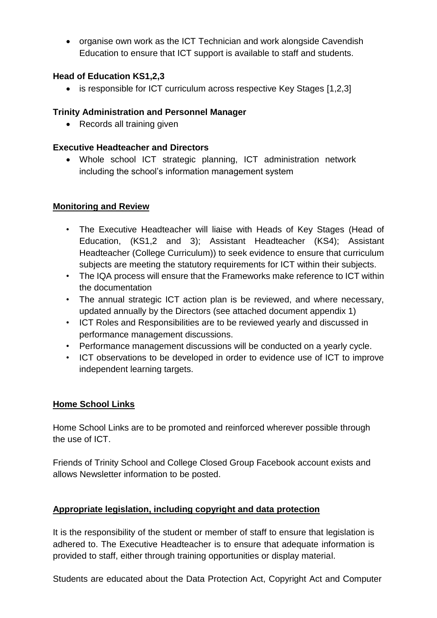• organise own work as the ICT Technician and work alongside Cavendish Education to ensure that ICT support is available to staff and students.

# **Head of Education KS1,2,3**

is responsible for ICT curriculum across respective Key Stages [1,2,3]

# **Trinity Administration and Personnel Manager**

• Records all training given

# **Executive Headteacher and Directors**

 Whole school ICT strategic planning, ICT administration network including the school's information management system

# **Monitoring and Review**

- The Executive Headteacher will liaise with Heads of Key Stages (Head of Education, (KS1,2 and 3); Assistant Headteacher (KS4); Assistant Headteacher (College Curriculum)) to seek evidence to ensure that curriculum subjects are meeting the statutory requirements for ICT within their subjects.
- The IQA process will ensure that the Frameworks make reference to ICT within the documentation
- The annual strategic ICT action plan is be reviewed, and where necessary, updated annually by the Directors (see attached document appendix 1)
- ICT Roles and Responsibilities are to be reviewed yearly and discussed in performance management discussions.
- Performance management discussions will be conducted on a yearly cycle.
- ICT observations to be developed in order to evidence use of ICT to improve independent learning targets.

#### **Home School Links**

Home School Links are to be promoted and reinforced wherever possible through the use of ICT.

Friends of Trinity School and College Closed Group Facebook account exists and allows Newsletter information to be posted.

# **Appropriate legislation, including copyright and data protection**

It is the responsibility of the student or member of staff to ensure that legislation is adhered to. The Executive Headteacher is to ensure that adequate information is provided to staff, either through training opportunities or display material.

Students are educated about the Data Protection Act, Copyright Act and Computer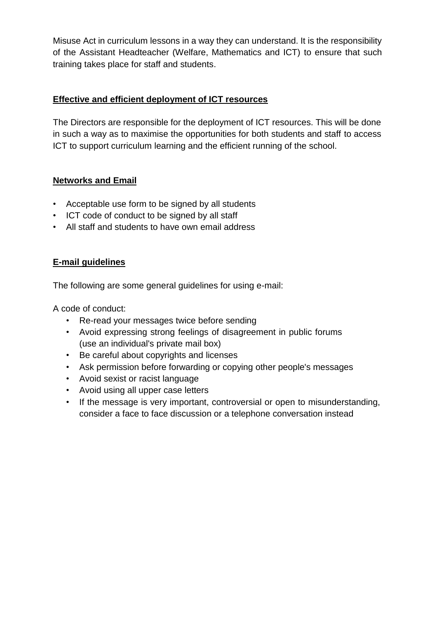Misuse Act in curriculum lessons in a way they can understand. It is the responsibility of the Assistant Headteacher (Welfare, Mathematics and ICT) to ensure that such training takes place for staff and students.

#### **Effective and efficient deployment of ICT resources**

The Directors are responsible for the deployment of ICT resources. This will be done in such a way as to maximise the opportunities for both students and staff to access ICT to support curriculum learning and the efficient running of the school.

#### **Networks and Email**

- Acceptable use form to be signed by all students
- ICT code of conduct to be signed by all staff
- All staff and students to have own email address

# **E-mail guidelines**

The following are some general guidelines for using e-mail:

A code of conduct:

- Re-read your messages twice before sending
- Avoid expressing strong feelings of disagreement in public forums (use an individual's private mail box)
- Be careful about copyrights and licenses
- Ask permission before forwarding or copying other people's messages
- Avoid sexist or racist language
- Avoid using all upper case letters
- If the message is very important, controversial or open to misunderstanding, consider a face to face discussion or a telephone conversation instead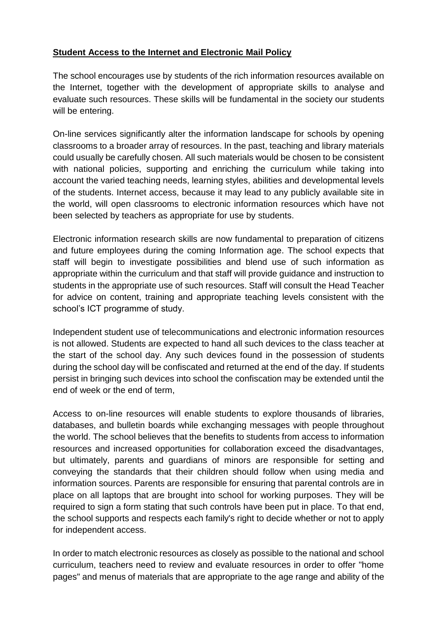#### **Student Access to the Internet and Electronic Mail Policy**

The school encourages use by students of the rich information resources available on the Internet, together with the development of appropriate skills to analyse and evaluate such resources. These skills will be fundamental in the society our students will be entering.

On-line services significantly alter the information landscape for schools by opening classrooms to a broader array of resources. In the past, teaching and library materials could usually be carefully chosen. All such materials would be chosen to be consistent with national policies, supporting and enriching the curriculum while taking into account the varied teaching needs, learning styles, abilities and developmental levels of the students. Internet access, because it may lead to any publicly available site in the world, will open classrooms to electronic information resources which have not been selected by teachers as appropriate for use by students.

Electronic information research skills are now fundamental to preparation of citizens and future employees during the coming Information age. The school expects that staff will begin to investigate possibilities and blend use of such information as appropriate within the curriculum and that staff will provide guidance and instruction to students in the appropriate use of such resources. Staff will consult the Head Teacher for advice on content, training and appropriate teaching levels consistent with the school's ICT programme of study.

Independent student use of telecommunications and electronic information resources is not allowed. Students are expected to hand all such devices to the class teacher at the start of the school day. Any such devices found in the possession of students during the school day will be confiscated and returned at the end of the day. If students persist in bringing such devices into school the confiscation may be extended until the end of week or the end of term,

Access to on-line resources will enable students to explore thousands of libraries, databases, and bulletin boards while exchanging messages with people throughout the world. The school believes that the benefits to students from access to information resources and increased opportunities for collaboration exceed the disadvantages, but ultimately, parents and guardians of minors are responsible for setting and conveying the standards that their children should follow when using media and information sources. Parents are responsible for ensuring that parental controls are in place on all laptops that are brought into school for working purposes. They will be required to sign a form stating that such controls have been put in place. To that end, the school supports and respects each family's right to decide whether or not to apply for independent access.

In order to match electronic resources as closely as possible to the national and school curriculum, teachers need to review and evaluate resources in order to offer "home pages" and menus of materials that are appropriate to the age range and ability of the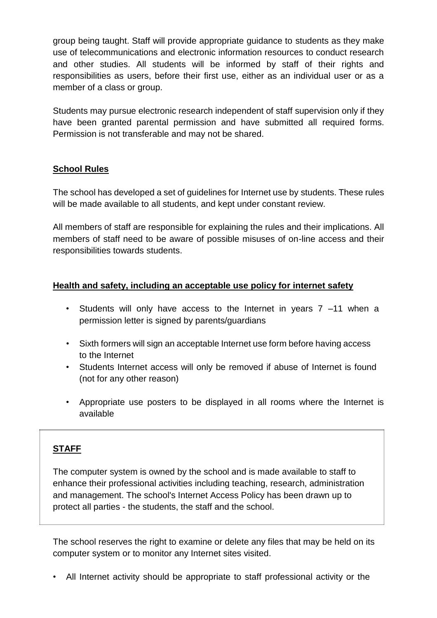group being taught. Staff will provide appropriate guidance to students as they make use of telecommunications and electronic information resources to conduct research and other studies. All students will be informed by staff of their rights and responsibilities as users, before their first use, either as an individual user or as a member of a class or group.

Students may pursue electronic research independent of staff supervision only if they have been granted parental permission and have submitted all required forms. Permission is not transferable and may not be shared.

#### **School Rules**

The school has developed a set of guidelines for Internet use by students. These rules will be made available to all students, and kept under constant review.

All members of staff are responsible for explaining the rules and their implications. All members of staff need to be aware of possible misuses of on-line access and their responsibilities towards students.

#### **Health and safety, including an acceptable use policy for internet safety**

- Students will only have access to the Internet in years 7 –11 when a permission letter is signed by parents/guardians
- Sixth formers will sign an acceptable Internet use form before having access to the Internet
- Students Internet access will only be removed if abuse of Internet is found (not for any other reason)
- Appropriate use posters to be displayed in all rooms where the Internet is available

#### **STAFF**

The computer system is owned by the school and is made available to staff to enhance their professional activities including teaching, research, administration and management. The school's Internet Access Policy has been drawn up to protect all parties - the students, the staff and the school.

The school reserves the right to examine or delete any files that may be held on its computer system or to monitor any Internet sites visited.

• All Internet activity should be appropriate to staff professional activity or the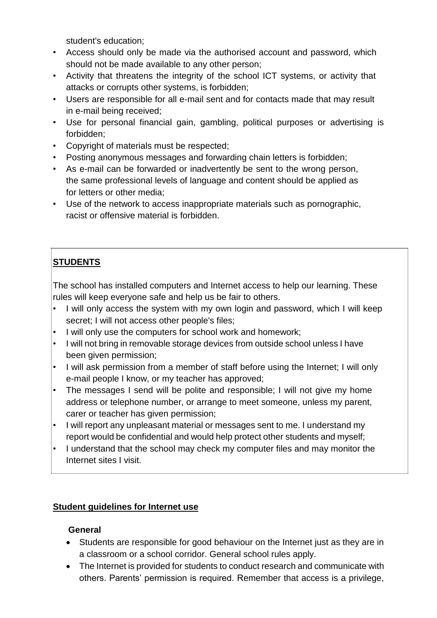student's education;

- Access should only be made via the authorised account and password, which should not be made available to any other person;
- Activity that threatens the integrity of the school ICT systems, or activity that attacks or corrupts other systems, is forbidden;
- Users are responsible for all e-mail sent and for contacts made that may result in e-mail being received;
- Use for personal financial gain, gambling, political purposes or advertising is forbidden;
- Copyright of materials must be respected;
- Posting anonymous messages and forwarding chain letters is forbidden;
- As e-mail can be forwarded or inadvertently be sent to the wrong person, the same professional levels of language and content should be applied as for letters or other media;
- Use of the network to access inappropriate materials such as pornographic, racist or offensive material is forbidden.

# **STUDENTS**

The school has installed computers and Internet access to help our learning. These rules will keep everyone safe and help us be fair to others.

- I will only access the system with my own login and password, which I will keep secret; I will not access other people's files;
- I will only use the computers for school work and homework;
- I will not bring in removable storage devices from outside school unless I have been given permission;
- I will ask permission from a member of staff before using the Internet; I will only e-mail people I know, or my teacher has approved;
- The messages I send will be polite and responsible; I will not give my home address or telephone number, or arrange to meet someone, unless my parent, carer or teacher has given permission;
- I will report any unpleasant material or messages sent to me. I understand my report would be confidential and would help protect other students and myself;
- I understand that the school may check my computer files and may monitor the Internet sites I visit.

# **Student guidelines for Internet use**

#### **General**

- Students are responsible for good behaviour on the Internet just as they are in a classroom or a school corridor. General school rules apply.
- The Internet is provided for students to conduct research and communicate with others. Parents' permission is required. Remember that access is a privilege,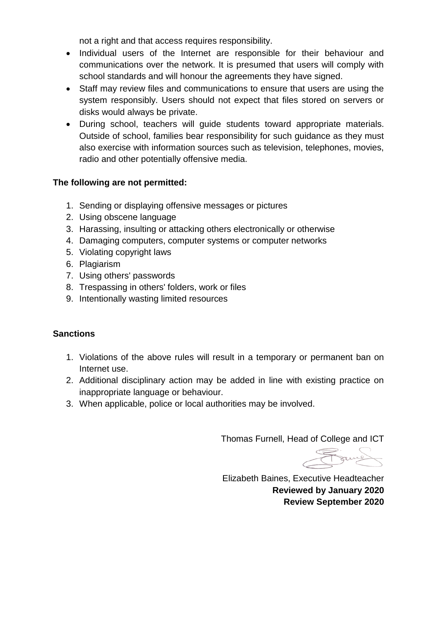not a right and that access requires responsibility.

- Individual users of the Internet are responsible for their behaviour and communications over the network. It is presumed that users will comply with school standards and will honour the agreements they have signed.
- Staff may review files and communications to ensure that users are using the system responsibly. Users should not expect that files stored on servers or disks would always be private.
- During school, teachers will guide students toward appropriate materials. Outside of school, families bear responsibility for such guidance as they must also exercise with information sources such as television, telephones, movies, radio and other potentially offensive media.

#### **The following are not permitted:**

- 1. Sending or displaying offensive messages or pictures
- 2. Using obscene language
- 3. Harassing, insulting or attacking others electronically or otherwise
- 4. Damaging computers, computer systems or computer networks
- 5. Violating copyright laws
- 6. Plagiarism
- 7. Using others' passwords
- 8. Trespassing in others' folders, work or files
- 9. Intentionally wasting limited resources

#### **Sanctions**

- 1. Violations of the above rules will result in a temporary or permanent ban on Internet use.
- 2. Additional disciplinary action may be added in line with existing practice on inappropriate language or behaviour.
- 3. When applicable, police or local authorities may be involved.

Thomas Furnell, Head of College and ICT

Found

Elizabeth Baines, Executive Headteacher **Reviewed by January 2020 Review September 2020**